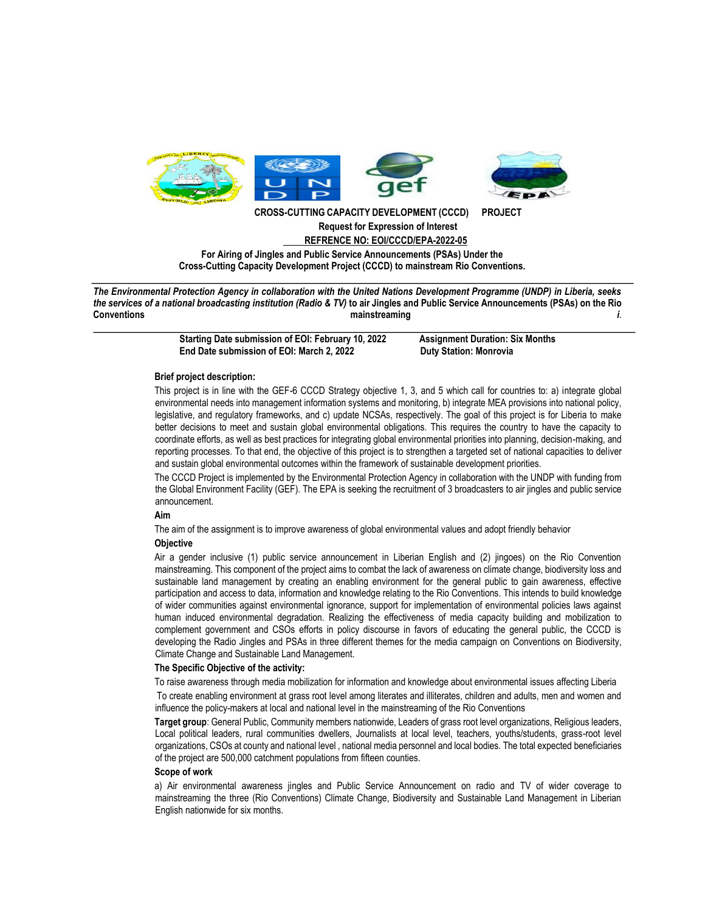

**CROSS-CUTTING CAPACITY DEVELOPMENT (CCCD) PROJECT Request for Expression of Interest REFRENCE NO: EOI/CCCD/EPA-2022-05**

**For Airing of Jingles and Public Service Announcements (PSAs) Under the Cross-Cutting Capacity Development Project (CCCD) to mainstream Rio Conventions.**

*The Environmental Protection Agency in collaboration with the United Nations Development Programme (UNDP) in Liberia, seeks the services of a national broadcasting institution (Radio & TV)* **to air Jingles and Public Service Announcements (PSAs) on the Rio Conventions mainstreaming** *i*.

> **Starting Date submission of EOI: February 10, 2022 Assignment Duration: Six Months**  End Date submission of EOI: March 2, 2022 Duty Station: Monrovia

## **Brief project description:**

This project is in line with the GEF-6 CCCD Strategy objective 1, 3, and 5 which call for countries to: a) integrate global environmental needs into management information systems and monitoring, b) integrate MEA provisions into national policy, legislative, and regulatory frameworks, and c) update NCSAs, respectively. The goal of this project is for Liberia to make better decisions to meet and sustain global environmental obligations. This requires the country to have the capacity to coordinate efforts, as well as best practices for integrating global environmental priorities into planning, decision-making, and reporting processes. To that end, the objective of this project is to strengthen a targeted set of national capacities to deliver and sustain global environmental outcomes within the framework of sustainable development priorities.

The CCCD Project is implemented by the Environmental Protection Agency in collaboration with the UNDP with funding from the Global Environment Facility (GEF). The EPA is seeking the recruitment of 3 broadcasters to air jingles and public service announcement.

#### **Aim**

The aim of the assignment is to improve awareness of global environmental values and adopt friendly behavior

# **Objective**

Air a gender inclusive (1) public service announcement in Liberian English and (2) jingoes) on the Rio Convention mainstreaming. This component of the project aims to combat the lack of awareness on climate change, biodiversity loss and sustainable land management by creating an enabling environment for the general public to gain awareness, effective participation and access to data, information and knowledge relating to the Rio Conventions. This intends to build knowledge of wider communities against environmental ignorance, support for implementation of environmental policies laws against human induced environmental degradation. Realizing the effectiveness of media capacity building and mobilization to complement government and CSOs efforts in policy discourse in favors of educating the general public, the CCCD is developing the Radio Jingles and PSAs in three different themes for the media campaign on Conventions on Biodiversity, Climate Change and Sustainable Land Management.

## **The Specific Objective of the activity:**

To raise awareness through media mobilization for information and knowledge about environmental issues affecting Liberia

To create enabling environment at grass root level among literates and illiterates, children and adults, men and women and influence the policy-makers at local and national level in the mainstreaming of the Rio Conventions

**Target group**: General Public, Community members nationwide, Leaders of grass root level organizations, Religious leaders, Local political leaders, rural communities dwellers, Journalists at local level, teachers, youths/students, grass-root level organizations, CSOs at county and national level , national media personnel and local bodies. The total expected beneficiaries of the project are 500,000 catchment populations from fifteen counties.

#### **Scope of work**

a) Air environmental awareness jingles and Public Service Announcement on radio and TV of wider coverage to mainstreaming the three (Rio Conventions) Climate Change, Biodiversity and Sustainable Land Management in Liberian English nationwide for six months.